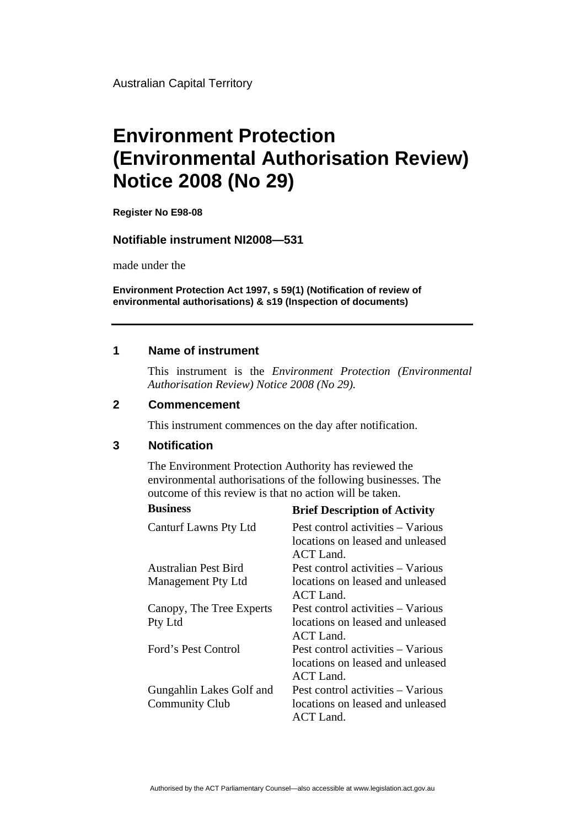Australian Capital Territory

# **Environment Protection (Environmental Authorisation Review) Notice 2008 (No 29)**

**Register No E98-08**

#### **Notifiable instrument NI2008—531**

made under the

**Environment Protection Act 1997, s 59(1) (Notification of review of environmental authorisations) & s19 (Inspection of documents)**

#### **1 Name of instrument**

This instrument is the *Environment Protection (Environmental Authorisation Review) Notice 2008 (No 29).* 

#### **2 Commencement**

This instrument commences on the day after notification.

### **3 Notification**

The Environment Protection Authority has reviewed the environmental authorisations of the following businesses. The outcome of this review is that no action will be taken.

| <b>Business</b>              | <b>Brief Description of Activity</b>                                                      |
|------------------------------|-------------------------------------------------------------------------------------------|
| <b>Canturf Lawns Pty Ltd</b> | Pest control activities – Various<br>locations on leased and unleased<br><b>ACT</b> Land. |
| Australian Pest Bird         | Pest control activities – Various                                                         |
| <b>Management Pty Ltd</b>    | locations on leased and unleased<br>ACT Land.                                             |
| Canopy, The Tree Experts     | Pest control activities – Various                                                         |
| Pty Ltd                      | locations on leased and unleased<br><b>ACT</b> Land.                                      |
| Ford's Pest Control          | Pest control activities – Various<br>locations on leased and unleased<br><b>ACT</b> Land. |
| Gungahlin Lakes Golf and     | Pest control activities - Various                                                         |
| <b>Community Club</b>        | locations on leased and unleased<br><b>ACT</b> Land.                                      |